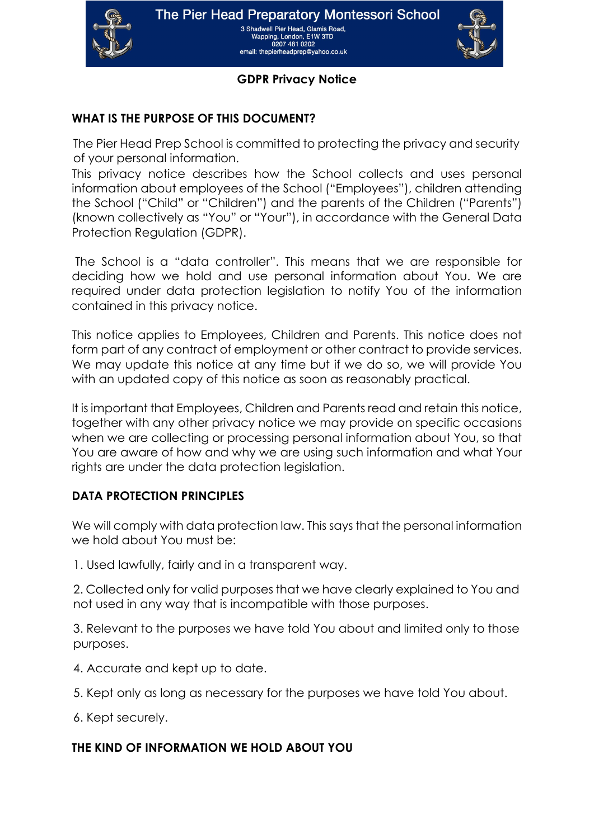

Wapping, London, E1W 3TD 0207 481 0202 email: the pierhead prep@vahoo.co.uk



### **GDPR Privacy Notice**

## **WHAT IS THE PURPOSE OF THIS DOCUMENT?**

The Pier Head Prep School is committed to protecting the privacy and security of your personal information.

This privacy notice describes how the School collects and uses personal information about employees of the School ("Employees"), children attending the School ("Child" or "Children") and the parents of the Children ("Parents") (known collectively as "You" or "Your"), in accordance with the General Data Protection Regulation (GDPR).

The School is a "data controller". This means that we are responsible for deciding how we hold and use personal information about You. We are required under data protection legislation to notify You of the information contained in this privacy notice.

This notice applies to Employees, Children and Parents. This notice does not form part of any contract of employment or other contract to provide services. We may update this notice at any time but if we do so, we will provide You with an updated copy of this notice as soon as reasonably practical.

It is important that Employees, Children and Parents read and retain this notice, together with any other privacy notice we may provide on specific occasions when we are collecting or processing personal information about You, so that You are aware of how and why we are using such information and what Your rights are under the data protection legislation.

## <span id="page-0-0"></span>**DATA PROTECTION PRINCIPLES**

We will comply with data protection law. This says that the personal information we hold about You must be:

1. Used lawfully, fairly and in a transparent way.

2. Collected only for valid purposes that we have clearly explained to You and not used in any way that is incompatible with those purposes.

3. Relevant to the purposes we have told You about and limited only to those purposes.

- 4. Accurate and kept up to date.
- 5. Kept only as long as necessary for the purposes we have told You about.
- 6. Kept securely.

## **THE KIND OF INFORMATION WE HOLD ABOUT YOU**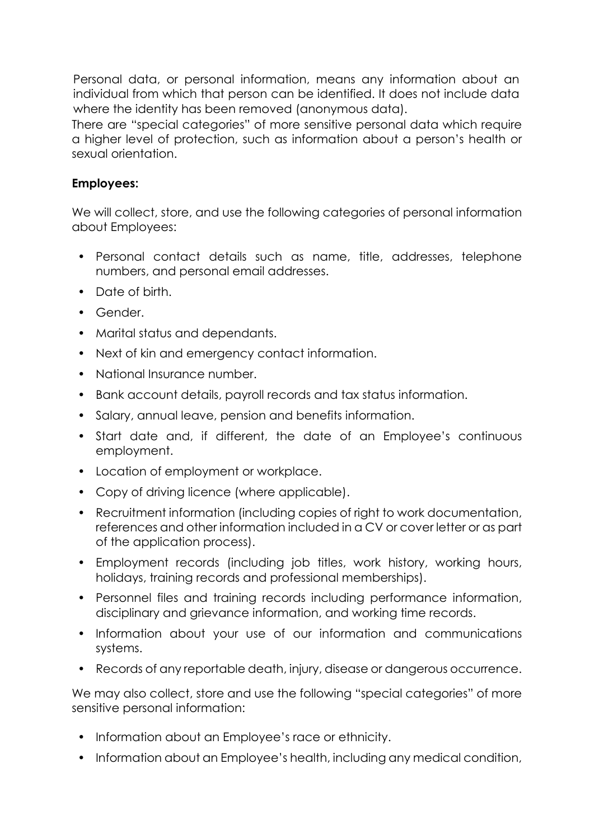Personal data, or personal information, means any information about an individual from which that person can be identified. It does not include data where the identity has been removed (anonymous data).

There are "special categories" of more sensitive personal data which require a higher level of protection, such as information about a person's health or sexual orientation.

## **Employees:**

We will collect, store, and use the following categories of personal information about Employees:

- Personal contact details such as name, title, addresses, telephone numbers, and personal email addresses.
- Date of birth.
- Gender.
- Marital status and dependants.
- Next of kin and emergency contact information.
- National Insurance number.
- Bank account details, payroll records and tax status information.
- Salary, annual leave, pension and benefits information.
- Start date and, if different, the date of an Employee's continuous employment.
- Location of employment or workplace.
- Copy of driving licence (where applicable).
- Recruitment information (including copies of right to work documentation, references and other information included in a CV or cover letter or as part of the application process).
- Employment records (including job titles, work history, working hours, holidays, training records and professional memberships).
- Personnel files and training records including performance information, disciplinary and grievance information, and working time records.
- Information about your use of our information and communications systems.
- Records of any reportable death, injury, disease or dangerous occurrence.

We may also collect, store and use the following "special categories" of more sensitive personal information:

- Information about an Employee's race or ethnicity.
- Information about an Employee's health, including any medical condition,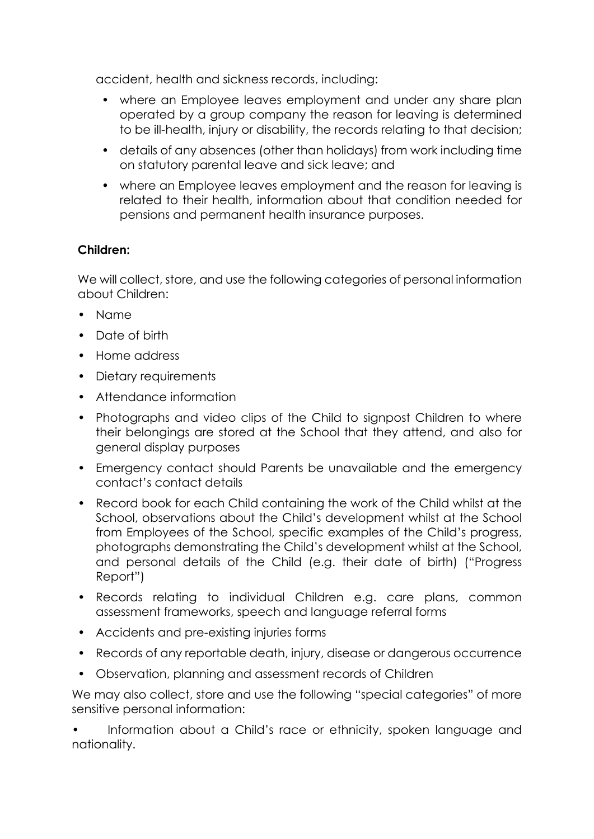accident, health and sickness records, including:

- where an Employee leaves employment and under any share plan operated by a group company the reason for leaving is determined to be ill-health, injury or disability, the records relating to that decision;
- details of any absences (other than holidays) from work including time on statutory parental leave and sick leave; and
- where an Employee leaves employment and the reason for leaving is related to their health, information about that condition needed for pensions and permanent health insurance purposes.

# **Children:**

We will collect, store, and use the following categories of personal information about Children:

- Name
- Date of birth
- Home address
- Dietary requirements
- Attendance information
- Photographs and video clips of the Child to signpost Children to where their belongings are stored at the School that they attend, and also for general display purposes
- Emergency contact should Parents be unavailable and the emergency contact's contact details
- Record book for each Child containing the work of the Child whilst at the School, observations about the Child's development whilst at the School from Employees of the School, specific examples of the Child's progress, photographs demonstrating the Child's development whilst at the School, and personal details of the Child (e.g. their date of birth) ("Progress Report")
- Records relating to individual Children e.g. care plans, common assessment frameworks, speech and language referral forms
- Accidents and pre-existing injuries forms
- Records of any reportable death, injury, disease or dangerous occurrence
- Observation, planning and assessment records of Children

We may also collect, store and use the following "special categories" of more sensitive personal information:

• Information about a Child's race or ethnicity, spoken language and nationality.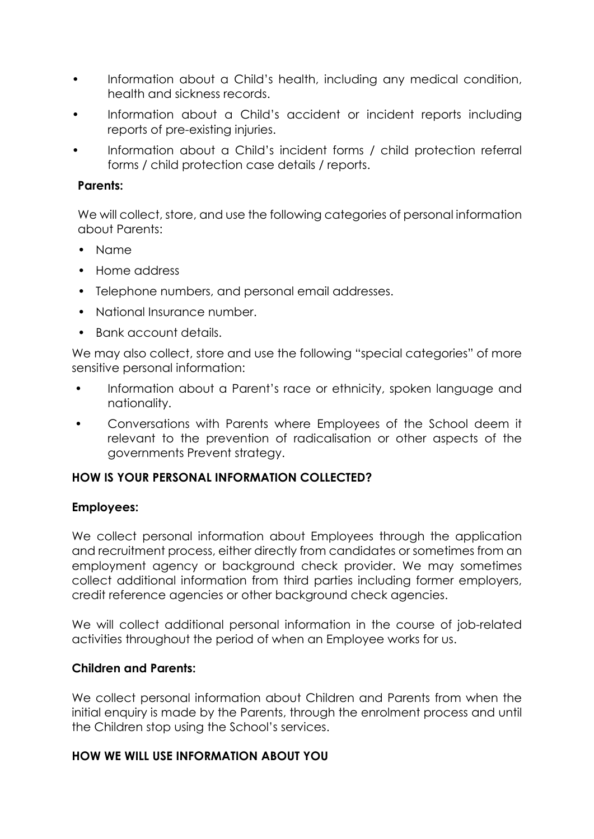- Information about a Child's health, including any medical condition, health and sickness records.
- Information about a Child's accident or incident reports including reports of pre-existing injuries.
- Information about a Child's incident forms / child protection referral forms / child protection case details / reports.

## **Parents:**

We will collect, store, and use the following categories of personal information about Parents:

- Name
- Home address
- Telephone numbers, and personal email addresses.
- National Insurance number
- Bank account details.

We may also collect, store and use the following "special categories" of more sensitive personal information:

- Information about a Parent's race or ethnicity, spoken language and nationality.
- Conversations with Parents where Employees of the School deem it relevant to the prevention of radicalisation or other aspects of the governments Prevent strategy.

## **HOW IS YOUR PERSONAL INFORMATION COLLECTED?**

## **Employees:**

We collect personal information about Employees through the application and recruitment process, either directly from candidates or sometimes from an employment agency or background check provider. We may sometimes collect additional information from third parties including former employers, credit reference agencies or other background check agencies.

We will collect additional personal information in the course of job-related activities throughout the period of when an Employee works for us.

## **Children and Parents:**

We collect personal information about Children and Parents from when the initial enquiry is made by the Parents, through the enrolment process and until the Children stop using the School's services.

## **HOW WE WILL USE INFORMATION ABOUT YOU**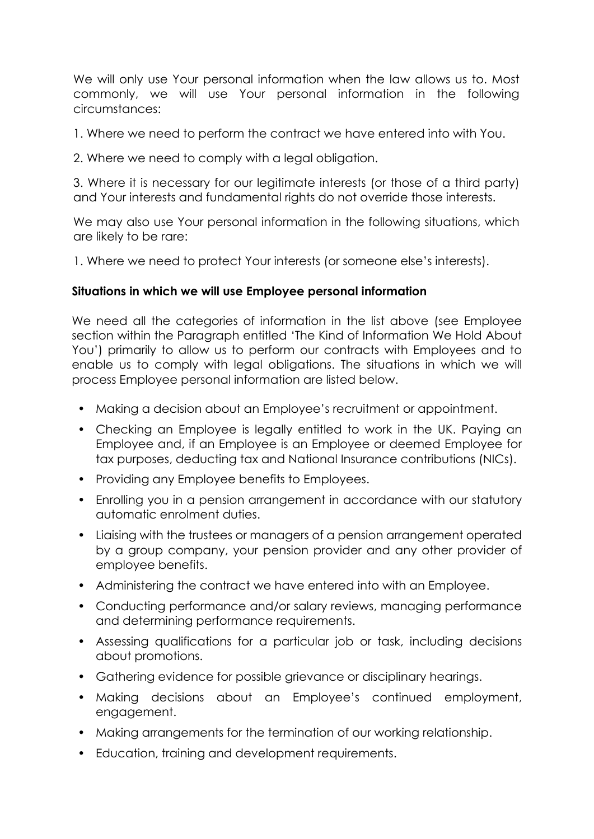We will only use Your personal information when the law allows us to. Most commonly, we will use Your personal information in the following circumstances:

1. Where we need to perform the contract we have entered into with You.

2. Where we need to comply with a legal obligation.

3. Where it is necessary for our legitimate interests (or those of a third party) and Your interests and fundamental rights do not override those interests.

We may also use Your personal information in the following situations, which are likely to be rare:

1. Where we need to protect Your interests (or someone else's interests).

## **Situations in which we will use Employee personal information**

We need all the categories of information in the list above (see Employee section within the [Paragraph](#page-0-0) entitled 'The Kind of Information We Hold About You') primarily to allow us to perform our contracts with Employees and to enable us to comply with legal obligations. The situations in which we will process Employee personal information are listed below.

- Making a decision about an Employee's recruitment or appointment.
- Checking an Employee is legally entitled to work in the UK. Paying an Employee and, if an Employee is an Employee or deemed Employee for tax purposes, deducting tax and National Insurance contributions (NICs).
- Providing any Employee benefits to Employees.
- Enrolling you in a pension arrangement in accordance with our statutory automatic enrolment duties.
- Liaising with the trustees or managers of a pension arrangement operated by a group company, your pension provider and any other provider of employee benefits.
- Administering the contract we have entered into with an Employee.
- Conducting performance and/or salary reviews, managing performance and determining performance requirements.
- Assessing qualifications for a particular job or task, including decisions about promotions.
- Gathering evidence for possible grievance or disciplinary hearings.
- Making decisions about an Employee's continued employment, engagement.
- Making arrangements for the termination of our working relationship.
- Education, training and development requirements.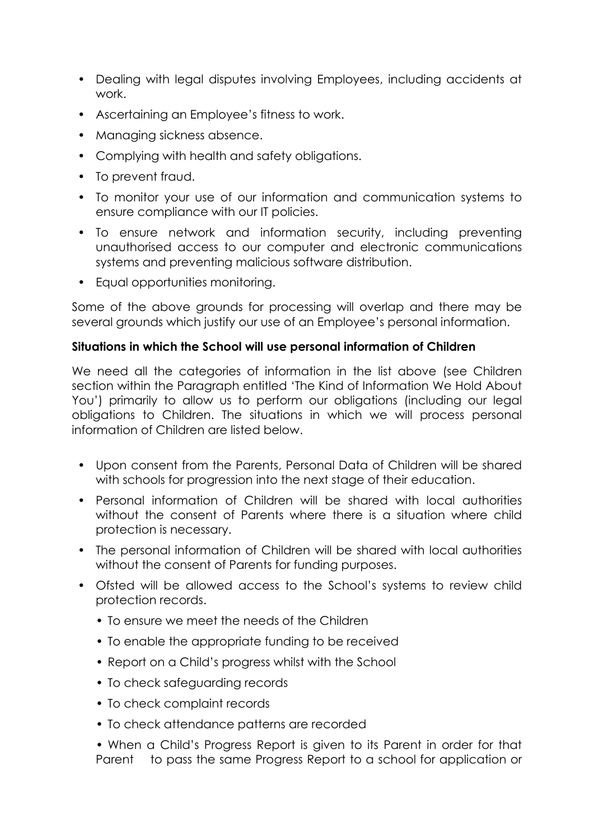- Dealing with legal disputes involving Employees, including accidents at work.
- Ascertaining an Employee's fitness to work.
- Managing sickness absence.
- Complying with health and safety obligations.
- To prevent fraud.
- To monitor your use of our information and communication systems to ensure compliance with our IT policies.
- To ensure network and information security, including preventing unauthorised access to our computer and electronic communications systems and preventing malicious software distribution.
- Equal opportunities monitoring.

Some of the above grounds for processing will overlap and there may be several grounds which justify our use of an Employee's personal information.

## **Situations in which the School will use personal information of Children**

We need all the categories of information in the list above (see Children section within the Paragraph entitled 'The Kind of Information We Hold About You') primarily to allow us to perform our obligations (including our legal obligations to Children. The situations in which we will process personal information of Children are listed below.

- Upon consent from the Parents, Personal Data of Children will be shared with schools for progression into the next stage of their education.
- Personal information of Children will be shared with local authorities without the consent of Parents where there is a situation where child protection is necessary.
- The personal information of Children will be shared with local authorities without the consent of Parents for funding purposes.
- Ofsted will be allowed access to the School's systems to review child protection records.
	- To ensure we meet the needs of the Children
	- To enable the appropriate funding to be received
	- Report on a Child's progress whilst with the School
	- To check safeguarding records
	- To check complaint records
	- To check attendance patterns are recorded

• When a Child's Progress Report is given to its Parent in order for that Parent to pass the same Progress Report to a school for application or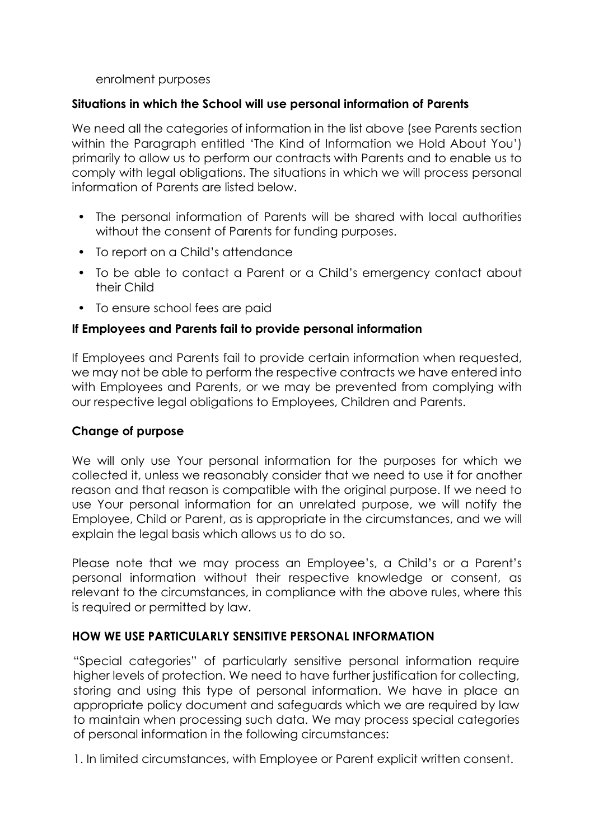### enrolment purposes

### **Situations in which the School will use personal information of Parents**

We need all the categories of information in the list above (see Parents section within the Paragraph entitled 'The Kind of Information we Hold About You') primarily to allow us to perform our contracts with Parents and to enable us to comply with legal obligations. The situations in which we will process personal information of Parents are listed below.

- The personal information of Parents will be shared with local authorities without the consent of Parents for funding purposes.
- To report on a Child's attendance
- To be able to contact a Parent or a Child's emergency contact about their Child
- To ensure school fees are paid

## **If Employees and Parents fail to provide personal information**

If Employees and Parents fail to provide certain information when requested, we may not be able to perform the respective contracts we have entered into with Employees and Parents, or we may be prevented from complying with our respective legal obligations to Employees, Children and Parents.

## **Change of purpose**

We will only use Your personal information for the purposes for which we collected it, unless we reasonably consider that we need to use it for another reason and that reason is compatible with the original purpose. If we need to use Your personal information for an unrelated purpose, we will notify the Employee, Child or Parent, as is appropriate in the circumstances, and we will explain the legal basis which allows us to do so.

Please note that we may process an Employee's, a Child's or a Parent's personal information without their respective knowledge or consent, as relevant to the circumstances, in compliance with the above rules, where this is required or permitted by law.

## **HOW WE USE PARTICULARLY SENSITIVE PERSONAL INFORMATION**

"Special categories" of particularly sensitive personal information require higher levels of protection. We need to have further justification for collecting, storing and using this type of personal information. We have in place an appropriate policy document and safeguards which we are required by law to maintain when processing such data. We may process special categories of personal information in the following circumstances:

1. In limited circumstances, with Employee or Parent explicit written consent.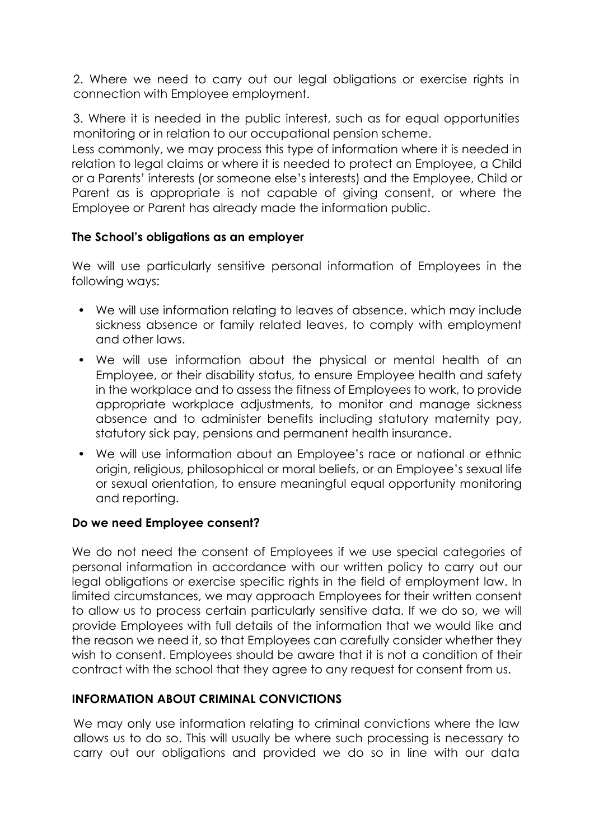2. Where we need to carry out our legal obligations or exercise rights in connection with Employee employment.

3. Where it is needed in the public interest, such as for equal opportunities monitoring or in relation to our occupational pension scheme.

Less commonly, we may process this type of information where it is needed in relation to legal claims or where it is needed to protect an Employee, a Child or a Parents' interests (or someone else's interests) and the Employee, Child or Parent as is appropriate is not capable of giving consent, or where the Employee or Parent has already made the information public.

## **The School's obligations as an employer**

We will use particularly sensitive personal information of Employees in the following ways:

- We will use information relating to leaves of absence, which may include sickness absence or family related leaves, to comply with employment and other laws.
- We will use information about the physical or mental health of an Employee, or their disability status, to ensure Employee health and safety in the workplace and to assess the fitness of Employees to work, to provide appropriate workplace adjustments, to monitor and manage sickness absence and to administer benefits including statutory maternity pay, statutory sick pay, pensions and permanent health insurance.
- We will use information about an Employee's race or national or ethnic origin, religious, philosophical or moral beliefs, or an Employee's sexual life or sexual orientation, to ensure meaningful equal opportunity monitoring and reporting.

## **Do we need Employee consent?**

We do not need the consent of Employees if we use special categories of personal information in accordance with our written policy to carry out our legal obligations or exercise specific rights in the field of employment law. In limited circumstances, we may approach Employees for their written consent to allow us to process certain particularly sensitive data. If we do so, we will provide Employees with full details of the information that we would like and the reason we need it, so that Employees can carefully consider whether they wish to consent. Employees should be aware that it is not a condition of their contract with the school that they agree to any request for consent from us.

# **INFORMATION ABOUT CRIMINAL CONVICTIONS**

We may only use information relating to criminal convictions where the law allows us to do so. This will usually be where such processing is necessary to carry out our obligations and provided we do so in line with our data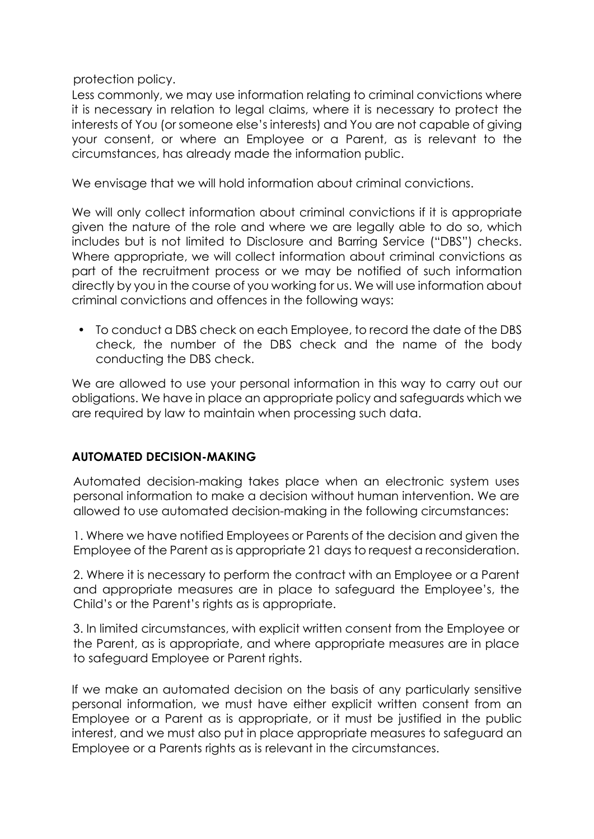protection policy.

Less commonly, we may use information relating to criminal convictions where it is necessary in relation to legal claims, where it is necessary to protect the interests of You (or someone else's interests) and You are not capable of giving your consent, or where an Employee or a Parent, as is relevant to the circumstances, has already made the information public.

We envisage that we will hold information about criminal convictions.

We will only collect information about criminal convictions if it is appropriate given the nature of the role and where we are legally able to do so, which includes but is not limited to Disclosure and Barring Service ("DBS") checks. Where appropriate, we will collect information about criminal convictions as part of the recruitment process or we may be notified of such information directly by you in the course of you working for us. We will use information about criminal convictions and offences in the following ways:

• To conduct a DBS check on each Employee, to record the date of the DBS check, the number of the DBS check and the name of the body conducting the DBS check.

We are allowed to use your personal information in this way to carry out our obligations. We have in place an appropriate policy and safeguards which we are required by law to maintain when processing such data.

## **AUTOMATED DECISION-MAKING**

Automated decision-making takes place when an electronic system uses personal information to make a decision without human intervention. We are allowed to use automated decision-making in the following circumstances:

1. Where we have notified Employees or Parents of the decision and given the Employee of the Parent as is appropriate 21 days to request a reconsideration.

2. Where it is necessary to perform the contract with an Employee or a Parent and appropriate measures are in place to safeguard the Employee's, the Child's or the Parent's rights as is appropriate.

3. In limited circumstances, with explicit written consent from the Employee or the Parent, as is appropriate, and where appropriate measures are in place to safeguard Employee or Parent rights.

If we make an automated decision on the basis of any particularly sensitive personal information, we must have either explicit written consent from an Employee or a Parent as is appropriate, or it must be justified in the public interest, and we must also put in place appropriate measures to safeguard an Employee or a Parents rights as is relevant in the circumstances.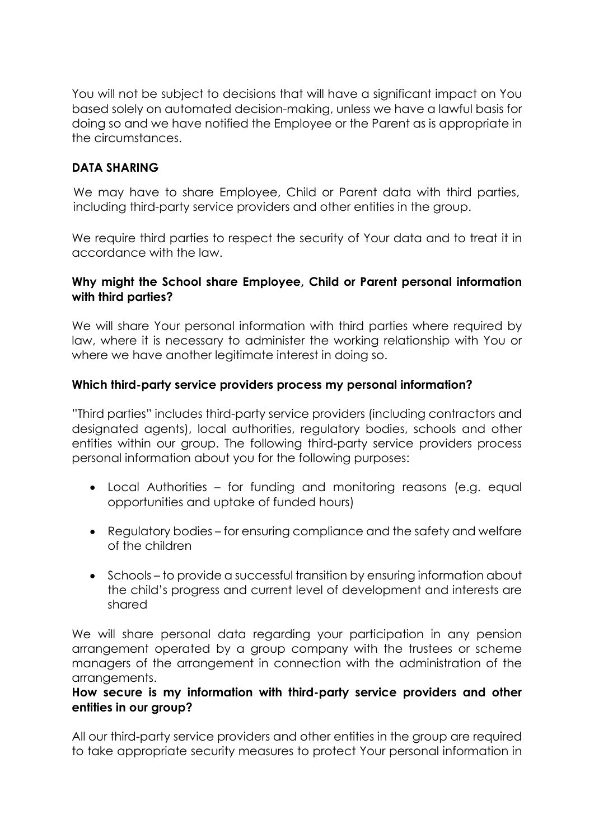You will not be subject to decisions that will have a significant impact on You based solely on automated decision-making, unless we have a lawful basis for doing so and we have notified the Employee or the Parent as is appropriate in the circumstances.

# **DATA SHARING**

We may have to share Employee, Child or Parent data with third parties, including third-party service providers and other entities in the group.

We require third parties to respect the security of Your data and to treat it in accordance with the law.

## **Why might the School share Employee, Child or Parent personal information with third parties?**

We will share Your personal information with third parties where required by law, where it is necessary to administer the working relationship with You or where we have another leaitimate interest in doing so.

## **Which third-party service providers process my personal information?**

"Third parties" includes third-party service providers (including contractors and designated agents), local authorities, regulatory bodies, schools and other entities within our group. The following third-party service providers process personal information about you for the following purposes:

- Local Authorities for funding and monitoring reasons (e.g. equal opportunities and uptake of funded hours)
- Regulatory bodies for ensuring compliance and the safety and welfare of the children
- Schools to provide a successful transition by ensuring information about the child's progress and current level of development and interests are shared

We will share personal data regarding your participation in any pension arrangement operated by a group company with the trustees or scheme managers of the arrangement in connection with the administration of the arrangements.

### **How secure is my information with third-party service providers and other entities in our group?**

All our third-party service providers and other entities in the group are required to take appropriate security measures to protect Your personal information in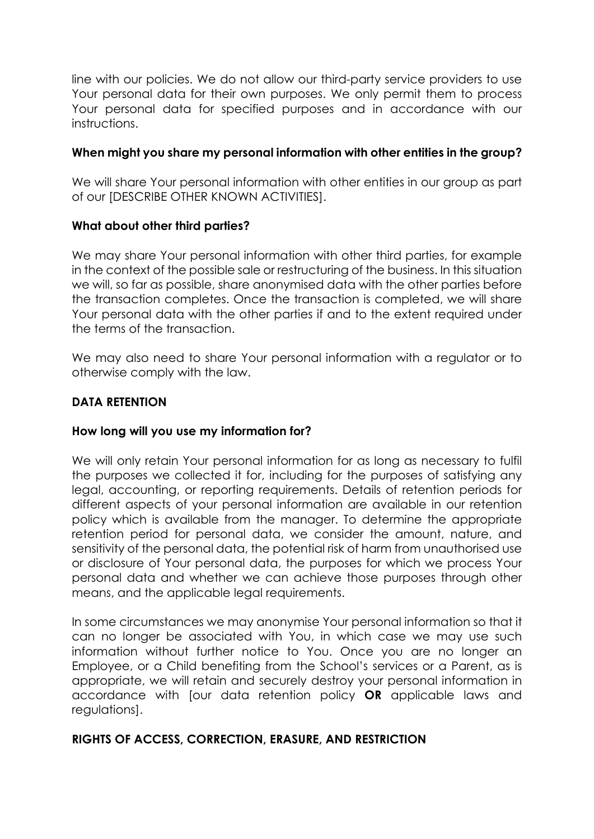line with our policies. We do not allow our third-party service providers to use Your personal data for their own purposes. We only permit them to process Your personal data for specified purposes and in accordance with our instructions.

## **When might you share my personal information with other entities in the group?**

We will share Your personal information with other entities in our group as part of our [DESCRIBE OTHER KNOWN ACTIVITIES].

## **What about other third parties?**

We may share Your personal information with other third parties, for example in the context of the possible sale or restructuring of the business. In this situation we will, so far as possible, share anonymised data with the other parties before the transaction completes. Once the transaction is completed, we will share Your personal data with the other parties if and to the extent required under the terms of the transaction.

We may also need to share Your personal information with a regulator or to otherwise comply with the law.

## **DATA RETENTION**

## **How long will you use my information for?**

We will only retain Your personal information for as long as necessary to fulfil the purposes we collected it for, including for the purposes of satisfying any legal, accounting, or reporting requirements. Details of retention periods for different aspects of your personal information are available in our retention policy which is available from the manager. To determine the appropriate retention period for personal data, we consider the amount, nature, and sensitivity of the personal data, the potential risk of harm from unauthorised use or disclosure of Your personal data, the purposes for which we process Your personal data and whether we can achieve those purposes through other means, and the applicable legal requirements.

In some circumstances we may anonymise Your personal information so that it can no longer be associated with You, in which case we may use such information without further notice to You. Once you are no longer an Employee, or a Child benefiting from the School's services or a Parent, as is appropriate, we will retain and securely destroy your personal information in accordance with [our data retention policy **OR** applicable laws and regulations].

## **RIGHTS OF ACCESS, CORRECTION, ERASURE, AND RESTRICTION**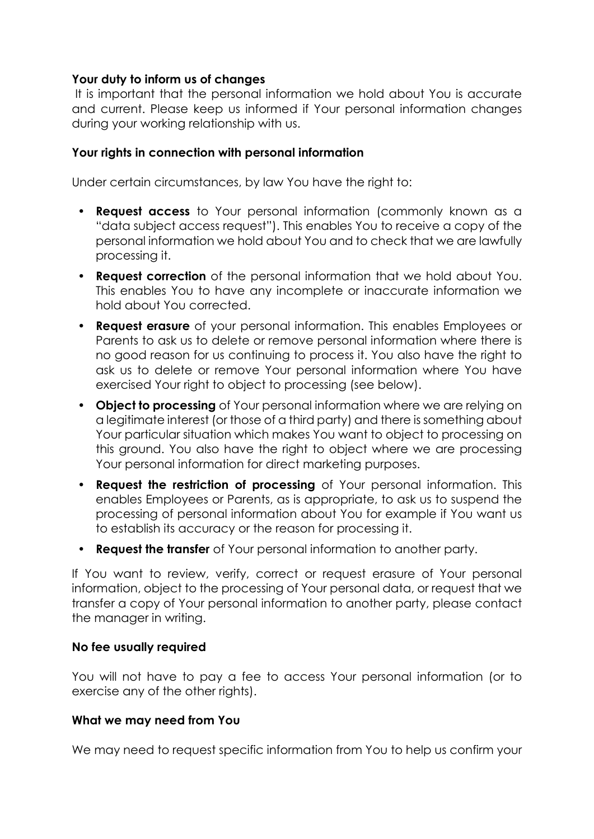### **Your duty to inform us of changes**

It is important that the personal information we hold about You is accurate and current. Please keep us informed if Your personal information changes during your working relationship with us.

## **Your rights in connection with personal information**

Under certain circumstances, by law You have the right to:

- **Request access** to Your personal information (commonly known as a "data subject access request"). This enables You to receive a copy of the personal information we hold about You and to check that we are lawfully processing it.
- **Request correction** of the personal information that we hold about You. This enables You to have any incomplete or inaccurate information we hold about You corrected.
- **Request erasure** of your personal information. This enables Employees or Parents to ask us to delete or remove personal information where there is no good reason for us continuing to process it. You also have the right to ask us to delete or remove Your personal information where You have exercised Your right to object to processing (see below).
- **Object to processing** of Your personal information where we are relying on a legitimate interest (or those of a third party) and there is something about Your particular situation which makes You want to object to processing on this ground. You also have the right to object where we are processing Your personal information for direct marketing purposes.
- **Request the restriction of processing** of Your personal information. This enables Employees or Parents, as is appropriate, to ask us to suspend the processing of personal information about You for example if You want us to establish its accuracy or the reason for processing it.
- **Request the transfer** of Your personal information to another party.

If You want to review, verify, correct or request erasure of Your personal information, object to the processing of Your personal data, or request that we transfer a copy of Your personal information to another party, please contact the manager in writing.

## **No fee usually required**

You will not have to pay a fee to access Your personal information (or to exercise any of the other rights).

## **What we may need from You**

We may need to request specific information from You to help us confirm your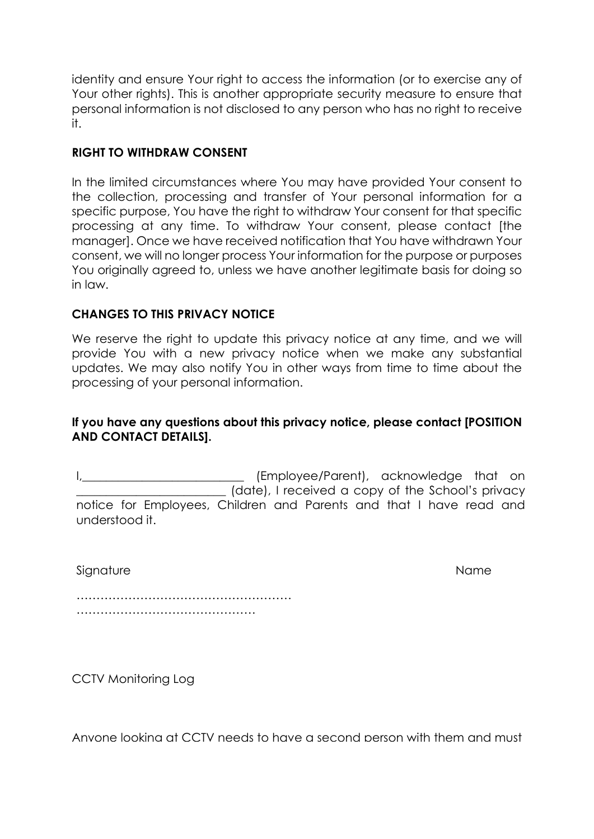identity and ensure Your right to access the information (or to exercise any of Your other rights). This is another appropriate security measure to ensure that personal information is not disclosed to any person who has no right to receive it.

# **RIGHT TO WITHDRAW CONSENT**

In the limited circumstances where You may have provided Your consent to the collection, processing and transfer of Your personal information for a specific purpose, You have the right to withdraw Your consent for that specific processing at any time. To withdraw Your consent, please contact [the manager]. Once we have received notification that You have withdrawn Your consent, we will no longer process Your information for the purpose or purposes You originally agreed to, unless we have another legitimate basis for doing so in law.

## **CHANGES TO THIS PRIVACY NOTICE**

We reserve the right to update this privacy notice at any time, and we will provide You with a new privacy notice when we make any substantial updates. We may also notify You in other ways from time to time about the processing of your personal information.

### **If you have any questions about this privacy notice, please contact [POSITION AND CONTACT DETAILS].**

I, the same of the state of the state of the state of the state of the state of the state of the state of the state of the state of the state of the state of the state of the state of the state of the state of the state of (date), I received a copy of the School's privacy notice for Employees, Children and Parents and that I have read and understood it.

Signature Name

……………………………………………… ………………………………………………

CCTV Monitoring Log

Anyone looking at CCTV needs to have a second person with them and must